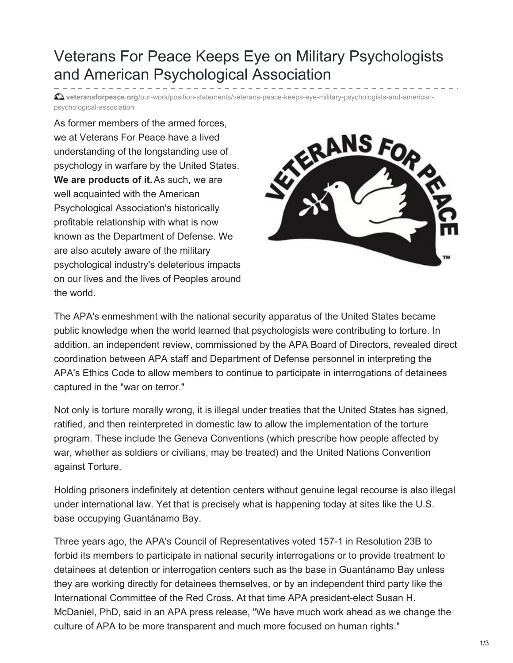## Veterans For Peace Keeps Eye on Military Psychologists and American Psychological Association

**veteransforpeace.org**[/our-work/position-statements/veterans-peace-keeps-eye-military-psychologists-and-american](https://www.veteransforpeace.org/our-work/position-statements/veterans-peace-keeps-eye-military-psychologists-and-american-psychological-association)psychological-association

As former members of the armed forces, we at Veterans For Peace have a lived understanding of the longstanding use of psychology in warfare by the United States. **We are products of it.**As such, we are well acquainted with the American Psychological Association's historically profitable relationship with what is now known as the Department of Defense. We are also acutely aware of the military psychological industry's deleterious impacts on our lives and the lives of Peoples around the world.



The APA's enmeshment with the national security apparatus of the United States became public knowledge when the world learned that psychologists were contributing to torture. In addition, an independent review, commissioned by the APA Board of Directors, revealed direct coordination between APA staff and Department of Defense personnel in interpreting the APA's Ethics Code to allow members to continue to participate in interrogations of detainees captured in the "war on terror."

Not only is torture morally wrong, it is illegal under treaties that the United States has signed, ratified, and then reinterpreted in domestic law to allow the implementation of the torture program. These include the Geneva Conventions (which prescribe how people affected by war, whether as soldiers or civilians, may be treated) and the United Nations Convention against Torture.

Holding prisoners indefinitely at detention centers without genuine legal recourse is also illegal under international law. Yet that is precisely what is happening today at sites like the U.S. base occupying Guantánamo Bay.

Three years ago, the APA's Council of Representatives voted 157-1 in Resolution 23B to forbid its members to participate in national security interrogations or to provide treatment to detainees at detention or interrogation centers such as the base in Guantánamo Bay unless they are working directly for detainees themselves, or by an independent third party like the International Committee of the Red Cross. At that time APA president-elect Susan H. McDaniel, PhD, said in an APA press release, "We have much work ahead as we change the culture of APA to be more transparent and much more focused on human rights."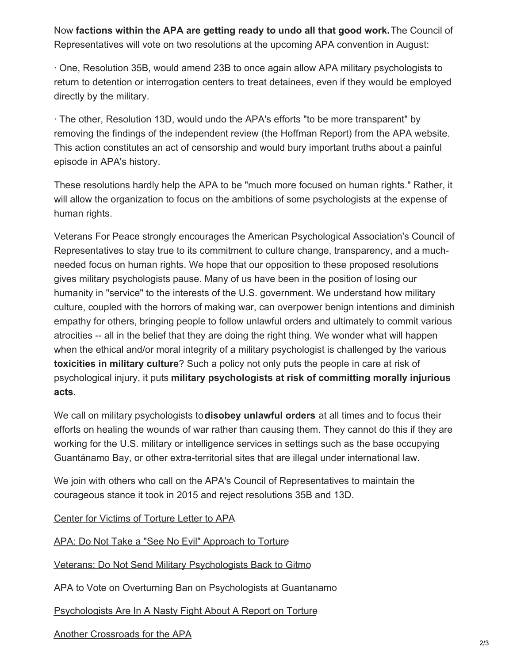Now **factions within the APA are getting ready to undo all that good work.**The Council of Representatives will vote on two resolutions at the upcoming APA convention in August:

· One, Resolution 35B, would amend 23B to once again allow APA military psychologists to return to detention or interrogation centers to treat detainees, even if they would be employed directly by the military.

· The other, Resolution 13D, would undo the APA's efforts "to be more transparent" by removing the findings of the independent review (the Hoffman Report) from the APA website. This action constitutes an act of censorship and would bury important truths about a painful episode in APA's history.

These resolutions hardly help the APA to be "much more focused on human rights." Rather, it will allow the organization to focus on the ambitions of some psychologists at the expense of human rights.

Veterans For Peace strongly encourages the American Psychological Association's Council of Representatives to stay true to its commitment to culture change, transparency, and a muchneeded focus on human rights. We hope that our opposition to these proposed resolutions gives military psychologists pause. Many of us have been in the position of losing our humanity in "service" to the interests of the U.S. government. We understand how military culture, coupled with the horrors of making war, can overpower benign intentions and diminish empathy for others, bringing people to follow unlawful orders and ultimately to commit various atrocities -- all in the belief that they are doing the right thing. We wonder what will happen when the ethical and/or moral integrity of a military psychologist is challenged by the various **toxicities in military culture**? Such a policy not only puts the people in care at risk of psychological injury, it puts **military psychologists at risk of committing morally injurious acts.**

We call on military psychologists to**disobey unlawful orders** at all times and to focus their efforts on healing the wounds of war rather than causing them. They cannot do this if they are working for the U.S. military or intelligence services in settings such as the base occupying Guantánamo Bay, or other extra-territorial sites that are illegal under international law.

We join with others who call on the APA's Council of Representatives to maintain the courageous stance it took in 2015 and reject resolutions 35B and 13D.

Center for [Victims](https://www.cvt.org/sites/default/files/attachments/u93/downloads/CVT APA letter 8-1.pdf) of Torture Letter to APA

APA: Do Not Take a "See No Evil" [Approach](https://www.psychologytoday.com/us/blog/paradigm-shift/201804/apa-do-not-take-see-no-evil-approach-torture) to Torture

Veterans: Do Not Send Military [Psychologists](https://www.psychologytoday.com/us/blog/paradigm-shift/201807/veterans-do-not-send-military-psychologists-back-gitmo) Back to Gitmo

APA to Vote on Overturning Ban on [Psychologists](https://medium.com/@jeff_kaye/trump-ordered-guantanamo-to-stay-open-now-apa-to-vote-on-overturning-ban-on-psychologists-at-cd8dd905be12) at Guantanamo

[Psychologists](https://www.buzzfeednews.com/article/peteraldhous/psychology-torture-guantanamo-interrogation) Are In A Nasty Fight About A Report on Torture

Another [Crossroads](https://www.psychologytoday.com/us/blog/dangerous-ideas/201807/another-crossroads-the-apa) for the APA